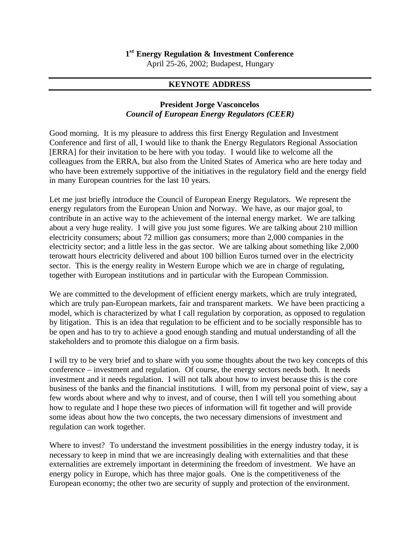## **1 st Energy Regulation & Investment Conference**

April 25-26, 2002; Budapest, Hungary

## **KEYNOTE ADDRESS**

## **President Jorge Vasconcelos** *Council of European Energy Regulators (CEER)*

Good morning. It is my pleasure to address this first Energy Regulation and Investment Conference and first of all, I would like to thank the Energy Regulators Regional Association [ERRA] for their invitation to be here with you today. I would like to welcome all the colleagues from the ERRA, but also from the United States of America who are here today and who have been extremely supportive of the initiatives in the regulatory field and the energy field in many European countries for the last 10 years.

Let me just briefly introduce the Council of European Energy Regulators. We represent the energy regulators from the European Union and Norway. We have, as our major goal, to contribute in an active way to the achievement of the internal energy market. We are talking about a very huge reality. I will give you just some figures. We are talking about 210 million electricity consumers; about 72 million gas consumers; more than 2,000 companies in the electricity sector; and a little less in the gas sector. We are talking about something like 2,000 terowatt hours electricity delivered and about 100 billion Euros turned over in the electricity sector. This is the energy reality in Western Europe which we are in charge of regulating, together with European institutions and in particular with the European Commission.

We are committed to the development of efficient energy markets, which are truly integrated, which are truly pan-European markets, fair and transparent markets. We have been practicing a model, which is characterized by what I call regulation by corporation, as opposed to regulation by litigation. This is an idea that regulation to be efficient and to be socially responsible has to be open and has to try to achieve a good enough standing and mutual understanding of all the stakeholders and to promote this dialogue on a firm basis.

I will try to be very brief and to share with you some thoughts about the two key concepts of this conference – investment and regulation. Of course, the energy sectors needs both. It needs investment and it needs regulation. I will not talk about how to invest because this is the core business of the banks and the financial institutions. I will, from my personal point of view, say a few words about where and why to invest, and of course, then I will tell you something about how to regulate and I hope these two pieces of information will fit together and will provide some ideas about how the two concepts, the two necessary dimensions of investment and regulation can work together.

Where to invest? To understand the investment possibilities in the energy industry today, it is necessary to keep in mind that we are increasingly dealing with externalities and that these externalities are extremely important in determining the freedom of investment. We have an energy policy in Europe, which has three major goals. One is the competitiveness of the European economy; the other two are security of supply and protection of the environment.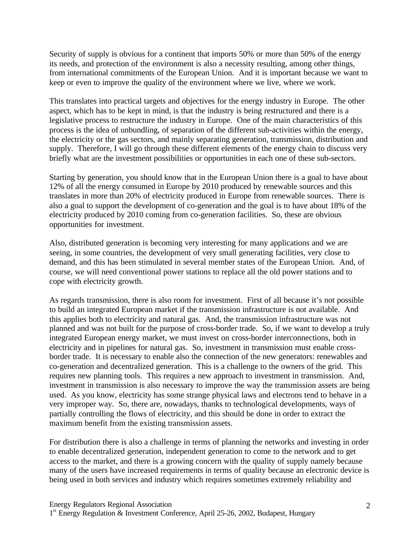Security of supply is obvious for a continent that imports 50% or more than 50% of the energy its needs, and protection of the environment is also a necessity resulting, among other things, from international commitments of the European Union. And it is important because we want to keep or even to improve the quality of the environment where we live, where we work.

This translates into practical targets and objectives for the energy industry in Europe. The other aspect, which has to be kept in mind, is that the industry is being restructured and there is a legislative process to restructure the industry in Europe. One of the main characteristics of this process is the idea of unbundling, of separation of the different sub-activities within the energy, the electricity or the gas sectors, and mainly separating generation, transmission, distribution and supply. Therefore, I will go through these different elements of the energy chain to discuss very briefly what are the investment possibilities or opportunities in each one of these sub-sectors.

Starting by generation, you should know that in the European Union there is a goal to have about 12% of all the energy consumed in Europe by 2010 produced by renewable sources and this translates in more than 20% of electricity produced in Europe from renewable sources. There is also a goal to support the development of co-generation and the goal is to have about 18% of the electricity produced by 2010 coming from co-generation facilities. So, these are obvious opportunities for investment.

Also, distributed generation is becoming very interesting for many applications and we are seeing, in some countries, the development of very small generating facilities, very close to demand, and this has been stimulated in several member states of the European Union. And, of course, we will need conventional power stations to replace all the old power stations and to cope with electricity growth.

As regards transmission, there is also room for investment. First of all because it's not possible to build an integrated European market if the transmission infrastructure is not available. And this applies both to electricity and natural gas. And, the transmission infrastructure was not planned and was not built for the purpose of cross-border trade. So, if we want to develop a truly integrated European energy market, we must invest on cross-border interconnections, both in electricity and in pipelines for natural gas. So, investment in transmission must enable crossborder trade. It is necessary to enable also the connection of the new generators: renewables and co-generation and decentralized generation. This is a challenge to the owners of the grid. This requires new planning tools. This requires a new approach to investment in transmission. And, investment in transmission is also necessary to improve the way the transmission assets are being used. As you know, electricity has some strange physical laws and electrons tend to behave in a very improper way. So, there are, nowadays, thanks to technological developments, ways of partially controlling the flows of electricity, and this should be done in order to extract the maximum benefit from the existing transmission assets.

For distribution there is also a challenge in terms of planning the networks and investing in order to enable decentralized generation, independent generation to come to the network and to get access to the market, and there is a growing concern with the quality of supply namely because many of the users have increased requirements in terms of quality because an electronic device is being used in both services and industry which requires sometimes extremely reliability and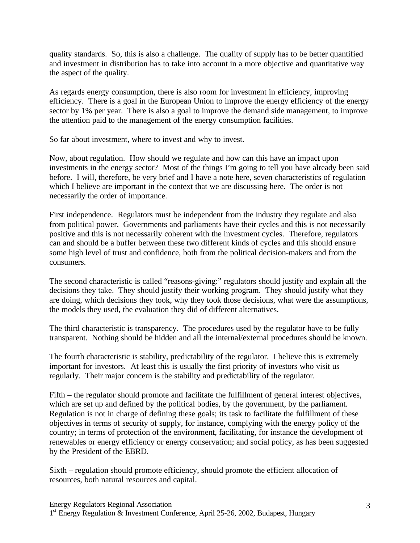quality standards. So, this is also a challenge. The quality of supply has to be better quantified and investment in distribution has to take into account in a more objective and quantitative way the aspect of the quality.

As regards energy consumption, there is also room for investment in efficiency, improving efficiency. There is a goal in the European Union to improve the energy efficiency of the energy sector by 1% per year. There is also a goal to improve the demand side management, to improve the attention paid to the management of the energy consumption facilities.

So far about investment, where to invest and why to invest.

Now, about regulation. How should we regulate and how can this have an impact upon investments in the energy sector? Most of the things I'm going to tell you have already been said before. I will, therefore, be very brief and I have a note here, seven characteristics of regulation which I believe are important in the context that we are discussing here. The order is not necessarily the order of importance.

First independence. Regulators must be independent from the industry they regulate and also from political power. Governments and parliaments have their cycles and this is not necessarily positive and this is not necessarily coherent with the investment cycles. Therefore, regulators can and should be a buffer between these two different kinds of cycles and this should ensure some high level of trust and confidence, both from the political decision-makers and from the consumers.

The second characteristic is called "reasons-giving:" regulators should justify and explain all the decisions they take. They should justify their working program. They should justify what they are doing, which decisions they took, why they took those decisions, what were the assumptions, the models they used, the evaluation they did of different alternatives.

The third characteristic is transparency. The procedures used by the regulator have to be fully transparent. Nothing should be hidden and all the internal/external procedures should be known.

The fourth characteristic is stability, predictability of the regulator. I believe this is extremely important for investors. At least this is usually the first priority of investors who visit us regularly. Their major concern is the stability and predictability of the regulator.

Fifth – the regulator should promote and facilitate the fulfillment of general interest objectives, which are set up and defined by the political bodies, by the government, by the parliament. Regulation is not in charge of defining these goals; its task to facilitate the fulfillment of these objectives in terms of security of supply, for instance, complying with the energy policy of the country; in terms of protection of the environment, facilitating, for instance the development of renewables or energy efficiency or energy conservation; and social policy, as has been suggested by the President of the EBRD.

Sixth – regulation should promote efficiency, should promote the efficient allocation of resources, both natural resources and capital.